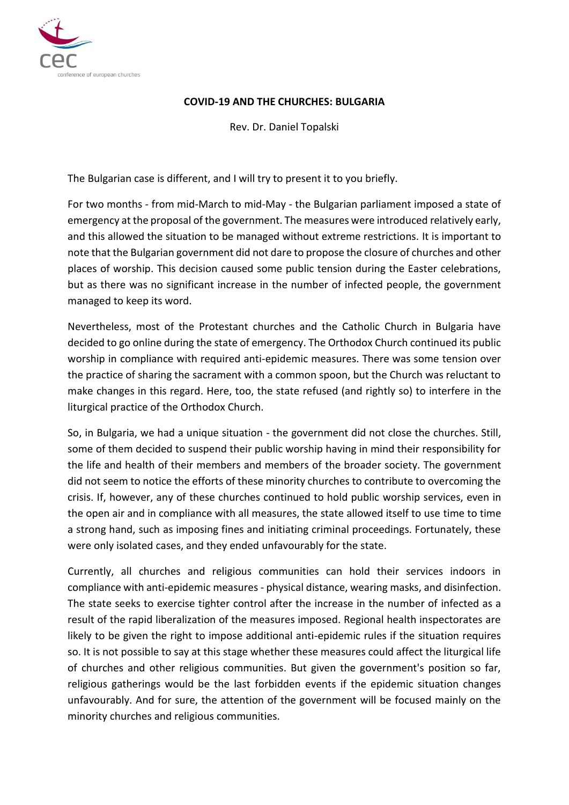

## **COVID-19 AND THE CHURCHES: BULGARIA**

Rev. Dr. Daniel Topalski

The Bulgarian case is different, and I will try to present it to you briefly.

For two months - from mid-March to mid-May - the Bulgarian parliament imposed a state of emergency at the proposal of the government. The measures were introduced relatively early, and this allowed the situation to be managed without extreme restrictions. It is important to note that the Bulgarian government did not dare to propose the closure of churches and other places of worship. This decision caused some public tension during the Easter celebrations, but as there was no significant increase in the number of infected people, the government managed to keep its word.

Nevertheless, most of the Protestant churches and the Catholic Church in Bulgaria have decided to go online during the state of emergency. The Orthodox Church continued its public worship in compliance with required anti-epidemic measures. There was some tension over the practice of sharing the sacrament with a common spoon, but the Church was reluctant to make changes in this regard. Here, too, the state refused (and rightly so) to interfere in the liturgical practice of the Orthodox Church.

So, in Bulgaria, we had a unique situation - the government did not close the churches. Still, some of them decided to suspend their public worship having in mind their responsibility for the life and health of their members and members of the broader society. The government did not seem to notice the efforts of these minority churches to contribute to overcoming the crisis. If, however, any of these churches continued to hold public worship services, even in the open air and in compliance with all measures, the state allowed itself to use time to time a strong hand, such as imposing fines and initiating criminal proceedings. Fortunately, these were only isolated cases, and they ended unfavourably for the state.

Currently, all churches and religious communities can hold their services indoors in compliance with anti-epidemic measures - physical distance, wearing masks, and disinfection. The state seeks to exercise tighter control after the increase in the number of infected as a result of the rapid liberalization of the measures imposed. Regional health inspectorates are likely to be given the right to impose additional anti-epidemic rules if the situation requires so. It is not possible to say at this stage whether these measures could affect the liturgical life of churches and other religious communities. But given the government's position so far, religious gatherings would be the last forbidden events if the epidemic situation changes unfavourably. And for sure, the attention of the government will be focused mainly on the minority churches and religious communities.